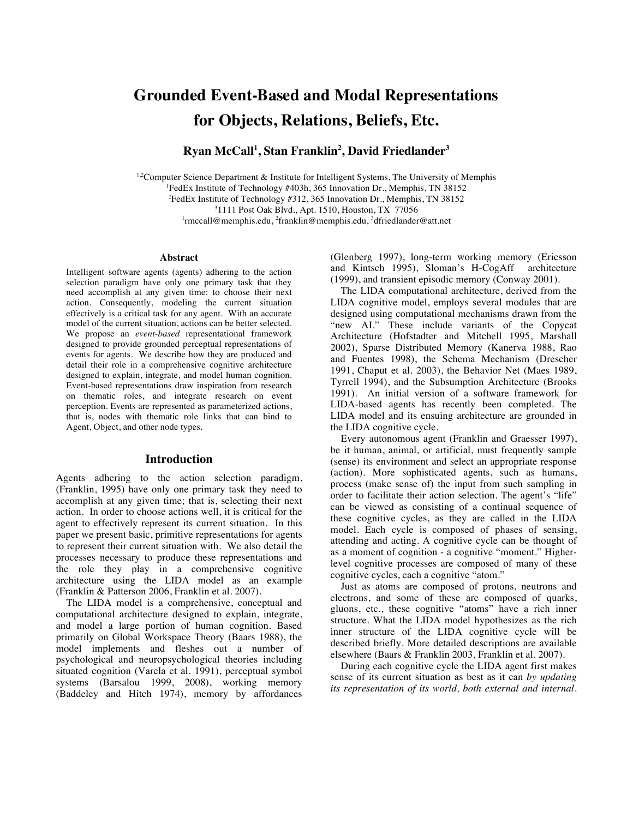# **Grounded Event-Based and Modal Representations for Objects, Relations, Beliefs, Etc.**

**Ryan McCall<sup>1</sup> , Stan Franklin<sup>2</sup> , David Friedlander3**

 $1.2$ Computer Science Department & Institute for Intelligent Systems, The University of Memphis <sup>1</sup>FedEx Institute of Technology #403h, 365 Innovation Dr., Memphis, TN 38152 <sup>2</sup>FedEx Institute of Technology #312, 365 Innovation Dr., Memphis, TN 38152 1111 Post Oak Blvd., Apt. 1510, Houston, TX 77056 <sup>1</sup>rmccall@memphis.edu,<sup>2</sup>franklin@memphis.edu,<sup>3</sup>dfriedlander@att.net

#### **Abstract**

Intelligent software agents (agents) adhering to the action selection paradigm have only one primary task that they need accomplish at any given time: to choose their next action. Consequently, modeling the current situation effectively is a critical task for any agent. With an accurate model of the current situation, actions can be better selected. We propose an *event-based* representational framework designed to provide grounded perceptual representations of events for agents. We describe how they are produced and detail their role in a comprehensive cognitive architecture designed to explain, integrate, and model human cognition. Event-based representations draw inspiration from research on thematic roles, and integrate research on event perception. Events are represented as parameterized actions, that is, nodes with thematic role links that can bind to Agent, Object, and other node types.

#### **Introduction**

Agents adhering to the action selection paradigm, (Franklin, 1995) have only one primary task they need to accomplish at any given time; that is, selecting their next action. In order to choose actions well, it is critical for the agent to effectively represent its current situation. In this paper we present basic, primitive representations for agents to represent their current situation with. We also detail the processes necessary to produce these representations and the role they play in a comprehensive cognitive architecture using the LIDA model as an example (Franklin & Patterson 2006, Franklin et al. 2007).

 The LIDA model is a comprehensive, conceptual and computational architecture designed to explain, integrate, and model a large portion of human cognition. Based primarily on Global Workspace Theory (Baars 1988), the model implements and fleshes out a number of psychological and neuropsychological theories including situated cognition (Varela et al. 1991), perceptual symbol systems (Barsalou 1999, 2008), working memory (Baddeley and Hitch 1974), memory by affordances (Glenberg 1997), long-term working memory (Ericsson and Kintsch 1995), Sloman's H-CogAff architecture (1999), and transient episodic memory (Conway 2001).

 The LIDA computational architecture, derived from the LIDA cognitive model, employs several modules that are designed using computational mechanisms drawn from the "new AI." These include variants of the Copycat Architecture (Hofstadter and Mitchell 1995, Marshall 2002), Sparse Distributed Memory (Kanerva 1988, Rao and Fuentes 1998), the Schema Mechanism (Drescher 1991, Chaput et al. 2003), the Behavior Net (Maes 1989, Tyrrell 1994), and the Subsumption Architecture (Brooks 1991). An initial version of a software framework for LIDA-based agents has recently been completed. The LIDA model and its ensuing architecture are grounded in the LIDA cognitive cycle.

 Every autonomous agent (Franklin and Graesser 1997), be it human, animal, or artificial, must frequently sample (sense) its environment and select an appropriate response (action). More sophisticated agents, such as humans, process (make sense of) the input from such sampling in order to facilitate their action selection. The agent's "life" can be viewed as consisting of a continual sequence of these cognitive cycles, as they are called in the LIDA model. Each cycle is composed of phases of sensing, attending and acting. A cognitive cycle can be thought of as a moment of cognition - a cognitive "moment." Higherlevel cognitive processes are composed of many of these cognitive cycles, each a cognitive "atom."

 Just as atoms are composed of protons, neutrons and electrons, and some of these are composed of quarks, gluons, etc., these cognitive "atoms" have a rich inner structure. What the LIDA model hypothesizes as the rich inner structure of the LIDA cognitive cycle will be described briefly. More detailed descriptions are available elsewhere (Baars & Franklin 2003, Franklin et al. 2007).

 During each cognitive cycle the LIDA agent first makes sense of its current situation as best as it can *by updating its representation of its world, both external and internal.*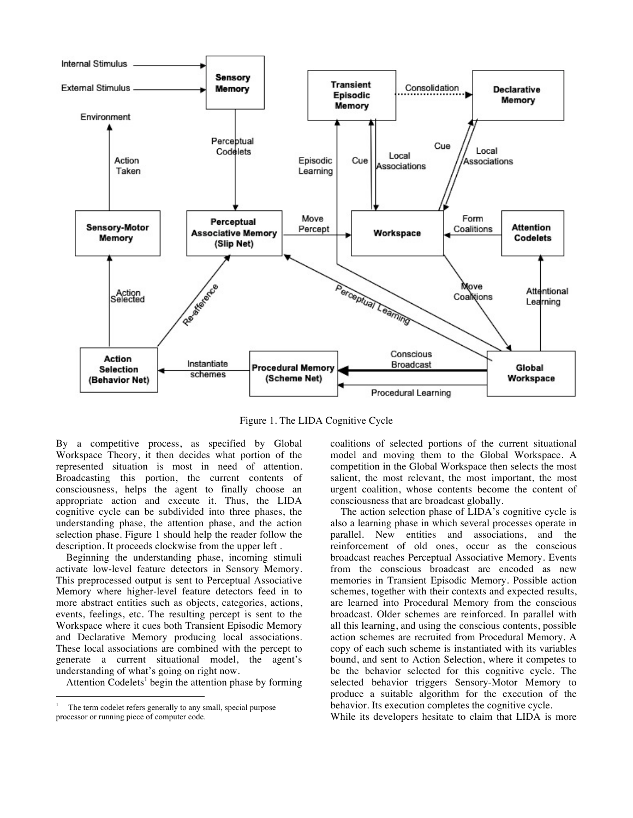

Figure 1. The LIDA Cognitive Cycle

By a competitive process, as specified by Global Workspace Theory, it then decides what portion of the represented situation is most in need of attention. Broadcasting this portion, the current contents of consciousness, helps the agent to finally choose an appropriate action and execute it. Thus, the LIDA cognitive cycle can be subdivided into three phases, the understanding phase, the attention phase, and the action selection phase. Figure 1 should help the reader follow the description. It proceeds clockwise from the upper left .

 Beginning the understanding phase, incoming stimuli activate low-level feature detectors in Sensory Memory. This preprocessed output is sent to Perceptual Associative Memory where higher-level feature detectors feed in to more abstract entities such as objects, categories, actions, events, feelings, etc. The resulting percept is sent to the Workspace where it cues both Transient Episodic Memory and Declarative Memory producing local associations. These local associations are combined with the percept to generate a current situational model, the agent's understanding of what's going on right now.

Attention Codelets<sup>1</sup> begin the attention phase by forming

coalitions of selected portions of the current situational model and moving them to the Global Workspace. A competition in the Global Workspace then selects the most salient, the most relevant, the most important, the most urgent coalition, whose contents become the content of consciousness that are broadcast globally.

 The action selection phase of LIDA's cognitive cycle is also a learning phase in which several processes operate in parallel. New entities and associations, and the reinforcement of old ones, occur as the conscious broadcast reaches Perceptual Associative Memory. Events from the conscious broadcast are encoded as new memories in Transient Episodic Memory. Possible action schemes, together with their contexts and expected results, are learned into Procedural Memory from the conscious broadcast. Older schemes are reinforced. In parallel with all this learning, and using the conscious contents, possible action schemes are recruited from Procedural Memory. A copy of each such scheme is instantiated with its variables bound, and sent to Action Selection, where it competes to be the behavior selected for this cognitive cycle. The selected behavior triggers Sensory-Motor Memory to produce a suitable algorithm for the execution of the behavior. Its execution completes the cognitive cycle.

While its developers hesitate to claim that LIDA is more

The term codelet refers generally to any small, special purpose processor or running piece of computer code.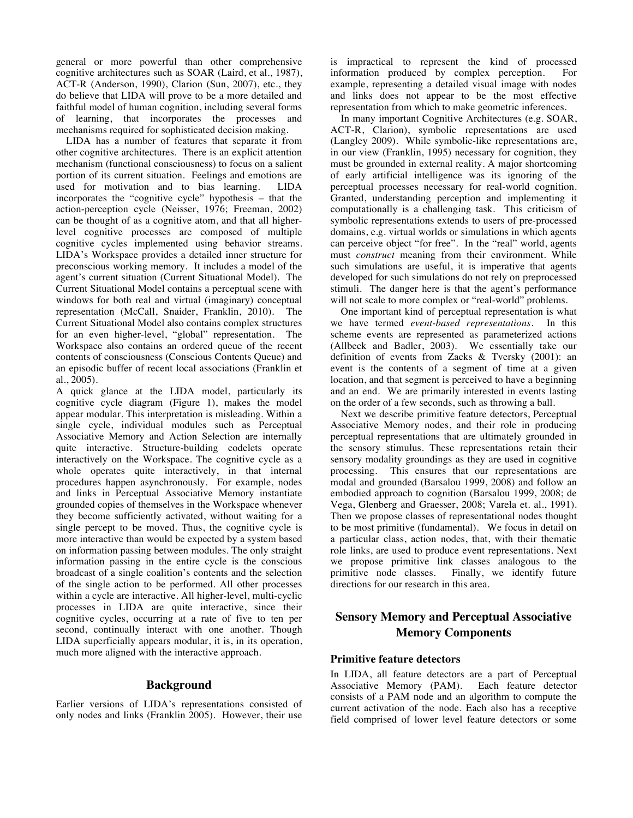general or more powerful than other comprehensive cognitive architectures such as SOAR (Laird, et al., 1987), ACT-R (Anderson, 1990), Clarion (Sun, 2007), etc., they do believe that LIDA will prove to be a more detailed and faithful model of human cognition, including several forms of learning, that incorporates the processes and mechanisms required for sophisticated decision making.

LIDA has a number of features that separate it from other cognitive architectures. There is an explicit attention mechanism (functional consciousness) to focus on a salient portion of its current situation. Feelings and emotions are used for motivation and to bias learning. LIDA incorporates the "cognitive cycle" hypothesis – that the action-perception cycle (Neisser, 1976; Freeman, 2002) can be thought of as a cognitive atom, and that all higherlevel cognitive processes are composed of multiple cognitive cycles implemented using behavior streams. LIDA's Workspace provides a detailed inner structure for preconscious working memory. It includes a model of the agent's current situation (Current Situational Model). The Current Situational Model contains a perceptual scene with windows for both real and virtual (imaginary) conceptual representation (McCall, Snaider, Franklin, 2010). The Current Situational Model also contains complex structures for an even higher-level, "global" representation. The Workspace also contains an ordered queue of the recent contents of consciousness (Conscious Contents Queue) and an episodic buffer of recent local associations (Franklin et al., 2005).

A quick glance at the LIDA model, particularly its cognitive cycle diagram (Figure 1), makes the model appear modular. This interpretation is misleading. Within a single cycle, individual modules such as Perceptual Associative Memory and Action Selection are internally quite interactive. Structure-building codelets operate interactively on the Workspace. The cognitive cycle as a whole operates quite interactively, in that internal procedures happen asynchronously. For example, nodes and links in Perceptual Associative Memory instantiate grounded copies of themselves in the Workspace whenever they become sufficiently activated, without waiting for a single percept to be moved. Thus, the cognitive cycle is more interactive than would be expected by a system based on information passing between modules. The only straight information passing in the entire cycle is the conscious broadcast of a single coalition's contents and the selection of the single action to be performed. All other processes within a cycle are interactive. All higher-level, multi-cyclic processes in LIDA are quite interactive, since their cognitive cycles, occurring at a rate of five to ten per second, continually interact with one another. Though LIDA superficially appears modular, it is, in its operation, much more aligned with the interactive approach.

# **Background**

Earlier versions of LIDA's representations consisted of only nodes and links (Franklin 2005). However, their use is impractical to represent the kind of processed information produced by complex perception. For example, representing a detailed visual image with nodes and links does not appear to be the most effective representation from which to make geometric inferences.

In many important Cognitive Architectures (e.g. SOAR, ACT-R, Clarion), symbolic representations are used (Langley 2009). While symbolic-like representations are, in our view (Franklin, 1995) necessary for cognition, they must be grounded in external reality. A major shortcoming of early artificial intelligence was its ignoring of the perceptual processes necessary for real-world cognition. Granted, understanding perception and implementing it computationally is a challenging task. This criticism of symbolic representations extends to users of pre-processed domains, e.g. virtual worlds or simulations in which agents can perceive object "for free". In the "real" world, agents must *construct* meaning from their environment. While such simulations are useful, it is imperative that agents developed for such simulations do not rely on preprocessed stimuli. The danger here is that the agent's performance will not scale to more complex or "real-world" problems.

One important kind of perceptual representation is what we have termed *event-based representations*. In this scheme events are represented as parameterized actions (Allbeck and Badler, 2003). We essentially take our definition of events from Zacks & Tversky (2001): an event is the contents of a segment of time at a given location, and that segment is perceived to have a beginning and an end. We are primarily interested in events lasting on the order of a few seconds, such as throwing a ball.

Next we describe primitive feature detectors, Perceptual Associative Memory nodes, and their role in producing perceptual representations that are ultimately grounded in the sensory stimulus. These representations retain their sensory modality groundings as they are used in cognitive processing. This ensures that our representations are modal and grounded (Barsalou 1999, 2008) and follow an embodied approach to cognition (Barsalou 1999, 2008; de Vega, Glenberg and Graesser, 2008; Varela et. al., 1991). Then we propose classes of representational nodes thought to be most primitive (fundamental). We focus in detail on a particular class, action nodes, that, with their thematic role links, are used to produce event representations. Next we propose primitive link classes analogous to the primitive node classes. Finally, we identify future Finally, we identify future directions for our research in this area.

# **Sensory Memory and Perceptual Associative Memory Components**

#### **Primitive feature detectors**

In LIDA, all feature detectors are a part of Perceptual Associative Memory (PAM). Each feature detector consists of a PAM node and an algorithm to compute the current activation of the node. Each also has a receptive field comprised of lower level feature detectors or some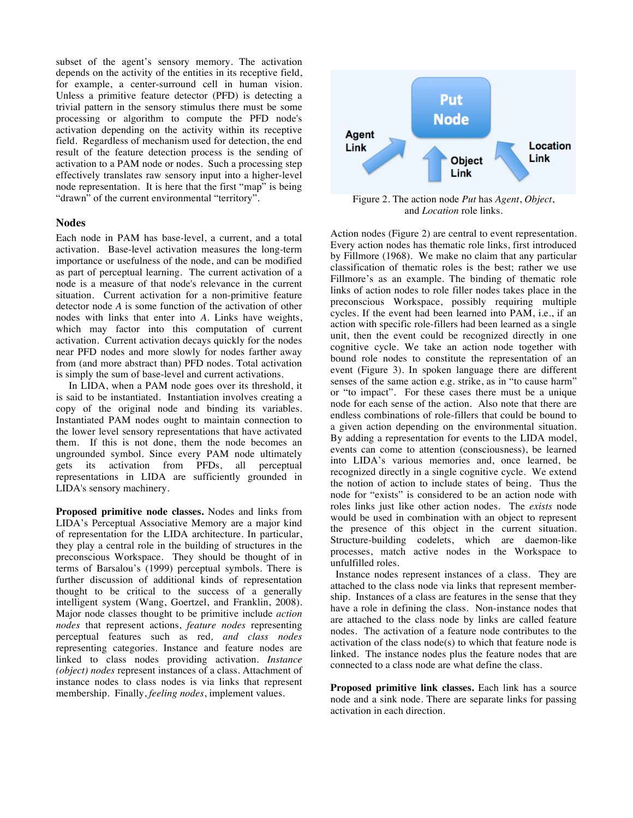subset of the agent's sensory memory. The activation depends on the activity of the entities in its receptive field, for example, a center-surround cell in human vision. Unless a primitive feature detector (PFD) is detecting a trivial pattern in the sensory stimulus there must be some processing or algorithm to compute the PFD node's activation depending on the activity within its receptive field. Regardless of mechanism used for detection, the end result of the feature detection process is the sending of activation to a PAM node or nodes. Such a processing step effectively translates raw sensory input into a higher-level node representation. It is here that the first "map" is being "drawn" of the current environmental "territory".

#### **Nodes**

Each node in PAM has base-level, a current, and a total activation. Base-level activation measures the long-term importance or usefulness of the node, and can be modified as part of perceptual learning. The current activation of a node is a measure of that node's relevance in the current situation. Current activation for a non-primitive feature detector node *A* is some function of the activation of other nodes with links that enter into *A*. Links have weights, which may factor into this computation of current activation. Current activation decays quickly for the nodes near PFD nodes and more slowly for nodes farther away from (and more abstract than) PFD nodes. Total activation is simply the sum of base-level and current activations.

 In LIDA, when a PAM node goes over its threshold, it is said to be instantiated. Instantiation involves creating a copy of the original node and binding its variables. Instantiated PAM nodes ought to maintain connection to the lower level sensory representations that have activated them. If this is not done, them the node becomes an ungrounded symbol. Since every PAM node ultimately gets its activation from PFDs, all perceptual representations in LIDA are sufficiently grounded in LIDA's sensory machinery.

**Proposed primitive node classes.** Nodes and links from LIDA's Perceptual Associative Memory are a major kind of representation for the LIDA architecture. In particular, they play a central role in the building of structures in the preconscious Workspace. They should be thought of in terms of Barsalou's (1999) perceptual symbols. There is further discussion of additional kinds of representation thought to be critical to the success of a generally intelligent system (Wang, Goertzel, and Franklin, 2008). Major node classes thought to be primitive include *action nodes* that represent actions, *feature nodes* representing perceptual features such as red*, and class nodes* representing categories. Instance and feature nodes are linked to class nodes providing activation. *Instance (object) nodes* represent instances of a class. Attachment of instance nodes to class nodes is via links that represent membership. Finally, *feeling nodes*, implement values.



Figure 2. The action node *Put* has *Agent*, *Object*, and *Location* role links.

Action nodes (Figure 2) are central to event representation. Every action nodes has thematic role links, first introduced by Fillmore (1968). We make no claim that any particular classification of thematic roles is the best; rather we use Fillmore's as an example. The binding of thematic role links of action nodes to role filler nodes takes place in the preconscious Workspace, possibly requiring multiple cycles. If the event had been learned into PAM, i.e., if an action with specific role-fillers had been learned as a single unit, then the event could be recognized directly in one cognitive cycle. We take an action node together with bound role nodes to constitute the representation of an event (Figure 3)*.* In spoken language there are different senses of the same action e.g. strike, as in "to cause harm" or "to impact". For these cases there must be a unique node for each sense of the action. Also note that there are endless combinations of role-fillers that could be bound to a given action depending on the environmental situation. By adding a representation for events to the LIDA model, events can come to attention (consciousness), be learned into LIDA's various memories and, once learned, be recognized directly in a single cognitive cycle. We extend the notion of action to include states of being. Thus the node for "exists" is considered to be an action node with roles links just like other action nodes. The *exists* node would be used in combination with an object to represent the presence of this object in the current situation. Structure-building codelets, which are daemon-like processes, match active nodes in the Workspace to unfulfilled roles.

 Instance nodes represent instances of a class. They are attached to the class node via links that represent membership. Instances of a class are features in the sense that they have a role in defining the class. Non-instance nodes that are attached to the class node by links are called feature nodes. The activation of a feature node contributes to the activation of the class node(s) to which that feature node is linked. The instance nodes plus the feature nodes that are connected to a class node are what define the class.

**Proposed primitive link classes.** Each link has a source node and a sink node. There are separate links for passing activation in each direction.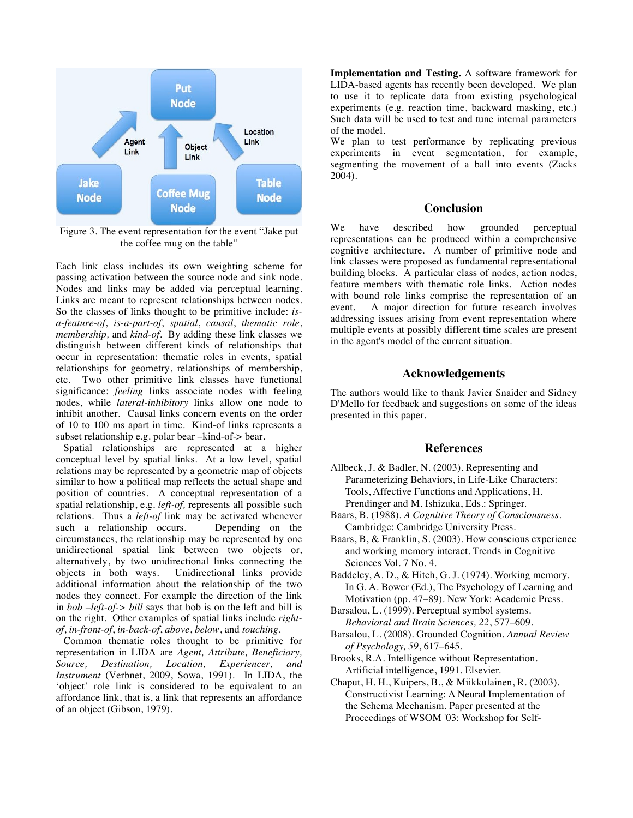

Figure 3. The event representation for the event "Jake put the coffee mug on the table"

Each link class includes its own weighting scheme for passing activation between the source node and sink node. Nodes and links may be added via perceptual learning. Links are meant to represent relationships between nodes. So the classes of links thought to be primitive include: *isa-feature-of*, *is-a-part-of*, *spatial*, *causal*, *thematic role*, *membership,* and *kind-of*. By adding these link classes we distinguish between different kinds of relationships that occur in representation: thematic roles in events, spatial relationships for geometry, relationships of membership, etc. Two other primitive link classes have functional significance: *feeling* links associate nodes with feeling nodes, while *lateral-inhibitory* links allow one node to inhibit another. Causal links concern events on the order of 10 to 100 ms apart in time. Kind-of links represents a subset relationship e.g. polar bear –kind-of-> bear.

 Spatial relationships are represented at a higher conceptual level by spatial links. At a low level, spatial relations may be represented by a geometric map of objects similar to how a political map reflects the actual shape and position of countries. A conceptual representation of a spatial relationship, e.g. *left-of,* represents all possible such relations. Thus a *left-of* link may be activated whenever<br>such a relationship occurs. Depending on the such a relationship occurs. circumstances, the relationship may be represented by one unidirectional spatial link between two objects or, alternatively, by two unidirectional links connecting the Unidirectional links provide additional information about the relationship of the two nodes they connect. For example the direction of the link in *bob –left-of-> bill* says that bob is on the left and bill is on the right. Other examples of spatial links include *rightof*, *in-front-of*, *in-back-of*, *above*, *below*, and *touching*.

 Common thematic roles thought to be primitive for representation in LIDA are *Agent, Attribute, Beneficiary, Source, Destination, Location, Experiencer, and Instrument* (Verbnet, 2009, Sowa, 1991). In LIDA, the 'object' role link is considered to be equivalent to an affordance link, that is, a link that represents an affordance of an object (Gibson, 1979).

**Implementation and Testing.** A software framework for LIDA-based agents has recently been developed. We plan to use it to replicate data from existing psychological experiments (e.g. reaction time, backward masking, etc.) Such data will be used to test and tune internal parameters of the model.

We plan to test performance by replicating previous experiments in event segmentation, for example, segmenting the movement of a ball into events (Zacks 2004).

## **Conclusion**

We have described how grounded perceptual representations can be produced within a comprehensive cognitive architecture. A number of primitive node and link classes were proposed as fundamental representational building blocks. A particular class of nodes, action nodes, feature members with thematic role links. Action nodes with bound role links comprise the representation of an event. A major direction for future research involves addressing issues arising from event representation where multiple events at possibly different time scales are present in the agent's model of the current situation.

# **Acknowledgements**

The authors would like to thank Javier Snaider and Sidney D'Mello for feedback and suggestions on some of the ideas presented in this paper.

## **References**

- Allbeck, J. & Badler, N. (2003). Representing and Parameterizing Behaviors, in Life-Like Characters: Tools, Affective Functions and Applications, H. Prendinger and M. Ishizuka, Eds.: Springer.
- Baars, B. (1988). *A Cognitive Theory of Consciousness*. Cambridge: Cambridge University Press.
- Baars, B, & Franklin, S. (2003). How conscious experience and working memory interact. Trends in Cognitive Sciences Vol. 7 No. 4.
- Baddeley, A. D., & Hitch, G. J. (1974). Working memory. In G. A. Bower (Ed.), The Psychology of Learning and Motivation (pp. 47–89). New York: Academic Press.
- Barsalou, L. (1999). Perceptual symbol systems. *Behavioral and Brain Sciences, 22*, 577–609.
- Barsalou, L. (2008). Grounded Cognition. *Annual Review of Psychology, 59*, 617–645.
- Brooks, R.A. Intelligence without Representation. Artificial intelligence, 1991. Elsevier.
- Chaput, H. H., Kuipers, B., & Miikkulainen, R. (2003). Constructivist Learning: A Neural Implementation of the Schema Mechanism. Paper presented at the Proceedings of WSOM '03: Workshop for Self-